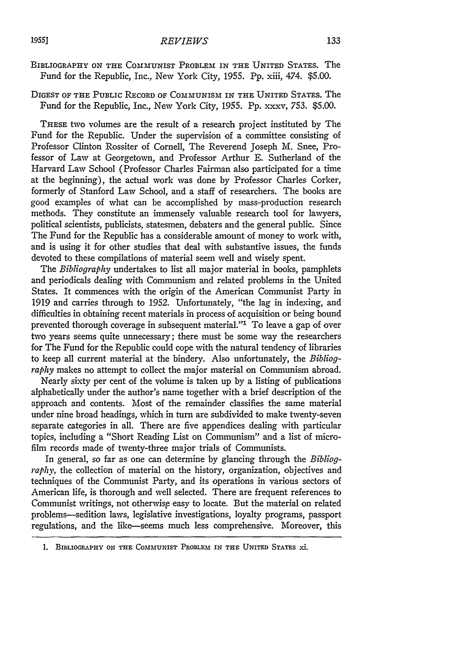## BIBLIOGRAPHY ON THE COMMUNIST PROBLEM IN THE UNITED STATES. The Fund for the Republic, Inc., New York City, 1955. Pp. xiii, 474. \$5.00.

DIGEST OF THE PUBLIC RECORD OF **COMMUNISM** IN THE UNITED **STATES.** The Fund for the Republic, Inc., New York City, 1955. Pp. xxxv, 753. \$5.00.

THESE two volumes are the result of a research project instituted by The Fund for the Republic. Under the supervision of a committee consisting of Professor Clinton Rossiter of Cornell, The Reverend Joseph M. Snee, Professor of Law at Georgetown, and Professor Arthur E. Sutherland of the Harvard Law School (Professor Charles Fairman also participated for a time at the beginning), the actual work was done by Professor Charles Corker, formerly of Stanford Law School, and a staff of researchers. The books are good examples of what can be accomplished by mass-production research methods. They constitute an immensely valuable research tool for lawyers, political scientists, publicists, statesmen, debaters and the general public. Since The Fund for the Republic has a considerable amount of money to work with, and is using it for other studies that deal with substantive issues, the funds devoted to these compilations of material seem well and wisely spent.

The *Bibliography* undertakes to list all major material in books, pamphlets and periodicals dealing with Communism and related problems in the United States. It commences with the origin of the American Communist Party in 1919 and carries through to 1952. Unfortunately, "the lag in indexing, and difficulties in obtaining recent materials in process of acquisition or being bound prevented thorough coverage in subsequent material."<sup>1</sup> To leave a gap of over two years seems quite unnecessary; there must be some way the researchers for The Fund for the Republic could cope with the natural tendency of libraries to keep all current material at the bindery. Also unfortunately, the *Bibliography* makes no attempt to collect the major material on Communism abroad.

Nearly sixty per cent of the volume is taken up by a listing of publications alphabetically under the author's name together with a brief description of the approach and contents. Most of the remainder classifies the same material under nine broad headings, which in turn are subdivided to make twenty-seven separate categories in all. There are five appendices dealing with particular topics, including a "Short Reading List on Communism" and a list of microfilm records made of twenty-three major trials of Communists.

In general, so far as one can determine by glancing through the *Bibliography*, the collection of material on the history, organization, objectives and techniques of the Communist Party, and its operations in various sectors of American life, is thorough and well selected. There are frequent references to Communist writings, not otherwise easy to locate. But the material on related problems-sedition laws, legislative investigations, loyalty programs, passport regulations, and the like-seems much less comprehensive. Moreover, this

<sup>1.</sup> **BIBLIOGRAPHY ON THE COMMUNIST PROBLEM IN THE** UNITED **STATES** xi.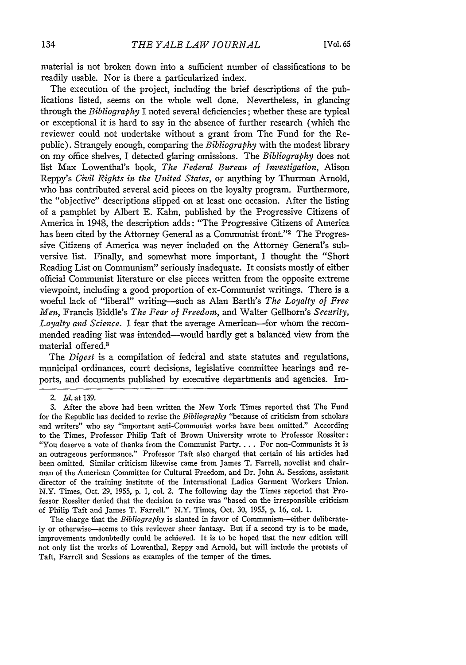material is not broken down into a sufficient number of classifications to be readily usable. Nor is there a particularized index.

The execution of the project, including the brief descriptions of the publications listed, seems on the whole well done. Nevertheless, in glancing through the *Bibliography* I noted several deficiencies; whether these are typical or exceptional it is hard to say in the absence of further research (which the reviewer could not undertake without a grant from The Fund for the Republic). Strangely enough, comparing the *Bibliography* with the modest library on my office shelves, I detected glaring omissions. The *Bibliography* does not list Max Lowenthal's book, *The Federal Bureau of Investigation,* Alison Reppy's *Civil Rights in the United States,* or anything by Thurman Arnold, who has contributed several acid pieces on the loyalty program. Furthermore, the "objective" descriptions slipped on at least one occasion. After the listing of a pamphlet by Albert E. Kahn, published by the Progressive Citizens of America in 1948, the description adds: "The Progressive Citizens of America has been cited by the Attorney General as a Communist front."<sup>2</sup> The Progressive Citizens of America was never included on the Attorney General's subversive list. Finally, and somewhat more important, I thought the "Short Reading List on Communism" seriously inadequate. It consists mostly of either official Communist literature or else pieces written from the opposite extreme viewpoint, including a good proportion of ex-Communist writings. There is a woeful lack of "liberal" writing-such as Alan Barth's *The Loyalty of Free Men,* Francis Biddle's *The Fear of Freedom,* and Walter Gellhorn's *Security, Loyalty and Science.* I fear that the average American—for whom the recommended reading list was intended-would hardly get a balanced view from the material offered.<sup>3</sup>

The *Digest* is a compilation of federal and state statutes and regulations, municipal ordinances, court decisions, legislative committee hearings and reports, and documents published by executive departments and agencies. Im-

The charge that the *Bibliography* is slanted in favor of Communism-either deliberately or otherwise-seems to this reviewer sheer fantasy. But if a second try is to be made, improvements undoubtedly could be achieved. It is to be hoped that the new edition will not only list the works of Lowenthal, Reppy and Arnold, but will include the protests **of** Taft, Farrell and Sessions as examples of the temper of the times.

*<sup>2.</sup> Id.* at 139.

<sup>3.</sup> After the above had been written the New York Times reported that The Fund for the Republic has decided to revise the *Bibliography* "because of criticism from scholars and writers" who say "important anti-Communist works have been omitted." According to the Times, Professor Philip Taft of Brown University wrote to Professor Rossiter: "You deserve a vote of thanks from the Communist Party.... For non-Communists it is an outrageous performance." Professor Taft also charged that certain of his articles had been omitted. Similar criticism likewise came from James T. Farrell, novelist and chairman of the American Committee for Cultural Freedom, and Dr. John A. Sessions, assistant director of the training institute of the International Ladies Garment Workers Union. N.Y. Times, Oct. 29, 1955, p. 1, col. 2. The following day the Times reported that Professor Rossiter denied that the decision to revise was "based on the irresponsible criticism of Philip Taft and James T. Farrell." N.Y. Times, Oct. 30, 1955, p. 16, col. 1.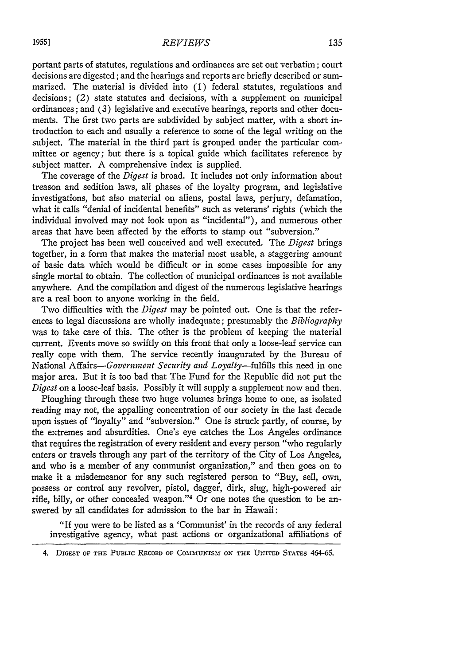portant parts of statutes, regulations and ordinances are set out verbatim; court decisions are digested; and the hearings and reports are briefly described or summarized. The material is divided into (1) federal statutes, regulations and decisions; (2) state statutes and decisions, with a supplement on municipal ordinances; and (3) legislative and executive hearings, reports and other documents. The first two parts are subdivided by subject matter, with a short introduction to each and usually a reference to some of the legal writing on the subject. The material in the third part is grouped under the particular committee or agency; but there is a topical guide which facilitates reference by subject matter. A comprehensive index is supplied.

The coverage of the *Digest* is broad. It includes not only information about treason and sedition laws, all phases of the loyalty program, and legislative investigations, but also material on aliens, postal laws, perjury, defamation, what it calls "denial of incidental benefits" such as veterans' rights (which the individual involved may not look upon as "incidental"), and numerous other areas that have been affected by the efforts to stamp out "subversion."

The project has been well conceived and well executed. The *Digest* brings together, in a form that makes the material most usable, a staggering amount of basic data which would be difficult or in some cases impossible for any single mortal to obtain. The collection of municipal ordinances is not available anywhere. And the compilation and digest of the numerous legislative hearings are a real boon to anyone working in the field.

Two difficulties with the *Digest* may be pointed out. One is that the references to legal discussions are wholly inadequate; presumably the *Bibliography* was to take care of this. The other is the problem of keeping the material current. Events move so swiftly on this front that only a loose-leaf service can really cope with them. The service recently inaugurated by the Bureau of National *Affairs-Government Security and Loyalty-fulfills* this need in one major area. But it is too bad that The Fund for the Republic did not put the *Digest* on a loose-leaf basis. Possibly it will supply a supplement now and then.

Ploughing through these two huge volumes brings home to one, as isolated reading may not, the appalling concentration of our society in the last decade upon issues of "loyalty" and "subversion." One is struck partly, of course, by the extremes and absurdities. One's eye catches the Los Angeles ordinance that requires the registration of every resident and every person "who regularly enters or travels through any part of the territory of the City of Los Angeles, and who is a member of any communist organization," and then goes on to make it a misdemeanor for any such registered person to "Buy, sell, own, possess or control any revolver, pistol, dagger, dirk, slug, high-powered air rifle, billy, or other concealed weapon."<sup>4</sup> Or one notes the question to be answered by all candidates for admission to the bar in Hawaii:

"If you were to be listed as a 'Communist' in the records of any federal investigative agency, what past actions or organizational affiliations of

<sup>4.</sup> **DIGEST OF THE** PuBLIc RECORD OF **COMMUNISM ON THE UNITED STATES** 464-65.